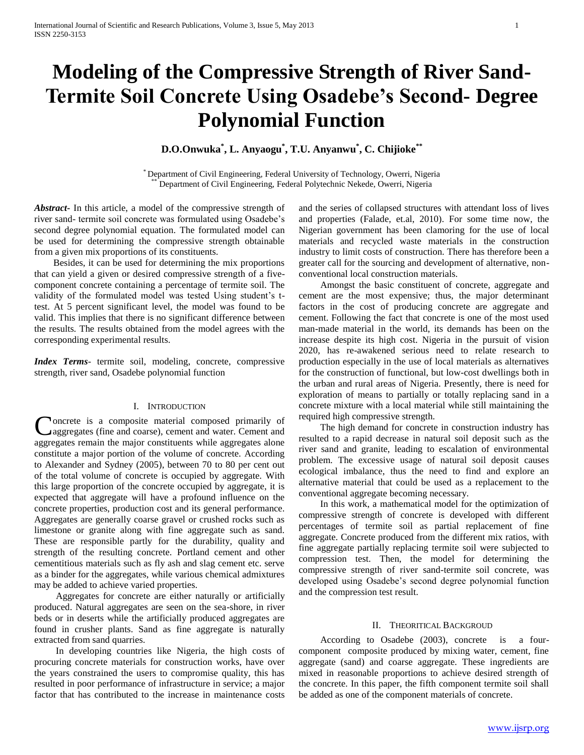# **Modeling of the Compressive Strength of River Sand-Termite Soil Concrete Using Osadebe's Second- Degree Polynomial Function**

**D.O.Onwuka\* , L. Anyaogu\* , T.U. Anyanwu\* , C. Chijioke\*\***

\* Department of Civil Engineering, Federal University of Technology, Owerri, Nigeria Department of Civil Engineering, Federal Polytechnic Nekede, Owerri, Nigeria

*Abstract***-** In this article, a model of the compressive strength of river sand- termite soil concrete was formulated using Osadebe's second degree polynomial equation. The formulated model can be used for determining the compressive strength obtainable from a given mix proportions of its constituents.

 Besides, it can be used for determining the mix proportions that can yield a given or desired compressive strength of a fivecomponent concrete containing a percentage of termite soil. The validity of the formulated model was tested Using student's ttest. At 5 percent significant level, the model was found to be valid. This implies that there is no significant difference between the results. The results obtained from the model agrees with the corresponding experimental results.

*Index Terms*- termite soil, modeling, concrete, compressive strength, river sand, Osadebe polynomial function

#### I. INTRODUCTION

Concrete is a composite material composed primarily of aggregates (fine and coarse), cement and water. Cement and aggregates (fine and coarse), cement and water. Cement and aggregates remain the major constituents while aggregates alone constitute a major portion of the volume of concrete. According to Alexander and Sydney (2005), between 70 to 80 per cent out of the total volume of concrete is occupied by aggregate. With this large proportion of the concrete occupied by aggregate, it is expected that aggregate will have a profound influence on the concrete properties, production cost and its general performance. Aggregates are generally coarse gravel or crushed rocks such as limestone or granite along with fine aggregate such as sand. These are responsible partly for the durability, quality and strength of the resulting concrete. Portland cement and other cementitious materials such as fly ash and slag cement etc. serve as a binder for the aggregates, while various chemical admixtures may be added to achieve varied properties.

 Aggregates for concrete are either naturally or artificially produced. Natural aggregates are seen on the sea-shore, in river beds or in deserts while the artificially produced aggregates are found in crusher plants. Sand as fine aggregate is naturally extracted from sand quarries.

 In developing countries like Nigeria, the high costs of procuring concrete materials for construction works, have over the years constrained the users to compromise quality, this has resulted in poor performance of infrastructure in service; a major factor that has contributed to the increase in maintenance costs

and the series of collapsed structures with attendant loss of lives and properties (Falade, et.al, 2010). For some time now, the Nigerian government has been clamoring for the use of local materials and recycled waste materials in the construction industry to limit costs of construction. There has therefore been a greater call for the sourcing and development of alternative, nonconventional local construction materials.

 Amongst the basic constituent of concrete, aggregate and cement are the most expensive; thus, the major determinant factors in the cost of producing concrete are aggregate and cement. Following the fact that concrete is one of the most used man-made material in the world, its demands has been on the increase despite its high cost. Nigeria in the pursuit of vision 2020, has re-awakened serious need to relate research to production especially in the use of local materials as alternatives for the construction of functional, but low-cost dwellings both in the urban and rural areas of Nigeria. Presently, there is need for exploration of means to partially or totally replacing sand in a concrete mixture with a local material while still maintaining the required high compressive strength.

 The high demand for concrete in construction industry has resulted to a rapid decrease in natural soil deposit such as the river sand and granite, leading to escalation of environmental problem. The excessive usage of natural soil deposit causes ecological imbalance, thus the need to find and explore an alternative material that could be used as a replacement to the conventional aggregate becoming necessary.

 In this work, a mathematical model for the optimization of compressive strength of concrete is developed with different percentages of termite soil as partial replacement of fine aggregate. Concrete produced from the different mix ratios, with fine aggregate partially replacing termite soil were subjected to compression test. Then, the model for determining the compressive strength of river sand-termite soil concrete, was developed using Osadebe's second degree polynomial function and the compression test result.

## II. THEORITICAL BACKGROUD

 According to Osadebe (2003), concrete is a fourcomponent composite produced by mixing water, cement, fine aggregate (sand) and coarse aggregate. These ingredients are mixed in reasonable proportions to achieve desired strength of the concrete. In this paper, the fifth component termite soil shall be added as one of the component materials of concrete.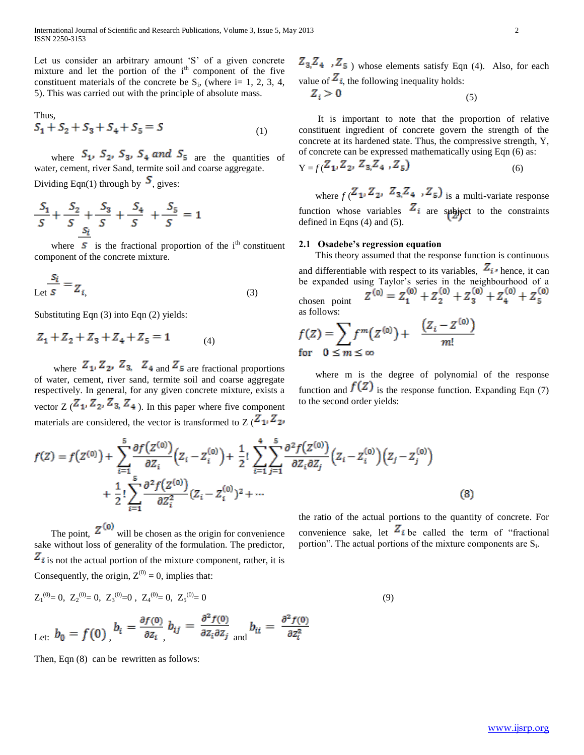Let us consider an arbitrary amount 'S' of a given concrete mixture and let the portion of the  $i<sup>th</sup>$  component of the five constituent materials of the concrete be  $S_i$ , (where i= 1, 2, 3, 4, 5). This was carried out with the principle of absolute mass.

Thus,  

$$
S_1 + S_2 + S_3 + S_4 + S_5 = S
$$
 (1)

where  $S_1$ ,  $S_2$ ,  $S_3$ ,  $S_4$  and  $S_5$  are the quantities of water, cement, river Sand, termite soil and coarse aggregate. Dividing Eqn(1) through by  $S$ , gives:

$$
\frac{S_1}{S} + \frac{S_2}{S} + \frac{S_3}{S} + \frac{S_4}{S} + \frac{S_5}{S} = 1
$$

where  $\boldsymbol{S}$  is the fractional proportion of the i<sup>th</sup> constituent component of the concrete mixture.

$$
\frac{S_i}{\text{Let } S} = Z_{i, \qquad (3)
$$

Substituting Eqn (3) into Eqn (2) yields:

$$
Z_1 + Z_2 + Z_3 + Z_4 + Z_5 = 1 \tag{4}
$$

where  $Z_1, Z_2, Z_3, Z_4$  and  $Z_5$  are fractional proportions of water, cement, river sand, termite soil and coarse aggregate respectively. In general, for any given concrete mixture, exists a vector  $Z(\mathbf{Z}_1, \mathbf{Z}_2, \mathbf{Z}_3, \mathbf{Z}_4)$ . In this paper where five component materials are considered, the vector is transformed to  $Z(\mathbf{Z_1}, \mathbf{Z_2})$ 

 $Z_3$ ,  $Z_4$ ,  $Z_5$ ) whose elements satisfy Eqn (4). Also, for each value of  $Z_i$ , the following inequality holds:

$$
Z_i > 0 \tag{5}
$$

 It is important to note that the proportion of relative constituent ingredient of concrete govern the strength of the concrete at its hardened state. Thus, the compressive strength, Y, of concrete can be expressed mathematically using Eqn (6) as:

$$
Y = f(Z_1, Z_2, Z_3, Z_4, Z_5) \tag{6}
$$

where  $f(Z_1, Z_2, Z_3, Z_4, Z_5)$  is a multi-variate response function whose variables  $Z_i$  are subject to the constraints defined in Eqns (4) and (5).

#### **2.1 Osadebe's regression equation**

 This theory assumed that the response function is continuous and differentiable with respect to its variables,  $Z_i$ , hence, it can be expanded using Taylor's series in the neighbourhood of a chosen point as follows:

$$
f(Z) = \sum f^{m}(Z^{(0)}) + \frac{(Z_i - Z^{(0)})}{m!}
$$
  
for  $0 \le m \le \infty$ 

 where m is the degree of polynomial of the response function and  $f(Z)$  is the response function. Expanding Eqn (7) to the second order yields:

$$
f(Z) = f(Z^{(0)}) + \sum_{i=1}^{5} \frac{\partial f(Z^{(0)})}{\partial Z_i} (Z_i - Z_i^{(0)}) + \frac{1}{2}! \sum_{i=1}^{4} \sum_{j=1}^{5} \frac{\partial^2 f(Z^{(0)})}{\partial Z_i \partial Z_j} (Z_i - Z_i^{(0)}) (Z_j - Z_j^{(0)}) + \frac{1}{2}! \sum_{i=1}^{5} \frac{\partial^2 f(Z^{(0)})}{\partial Z_i^2} (Z_i - Z_i^{(0)})^2 + \cdots
$$
\n(8)

The point,  $\sim$  will be chosen as the origin for convenience sake without loss of generality of the formulation. The predictor,  $\mathbf{z}_i$  is not the actual portion of the mixture component, rather, it is Consequently, the origin,  $Z^{(0)} = 0$ , implies that:

$$
Z_1^{(0)} = 0, \ Z_2^{(0)} = 0, \ Z_3^{(0)} = 0, \ Z_4^{(0)} = 0, \ Z_5^{(0)} = 0
$$
\n
$$
L_{\text{et:}} b_0 = f(0) \Bigg| b_i = \frac{\partial f(0)}{\partial z_i} b_{ij} = \frac{\partial^2 f(0)}{\partial z_i \partial z_j} b_{ii} = \frac{\partial^2 f(0)}{\partial z_i^2}
$$
\n(9)

Then, Eqn (8) can be rewritten as follows:

the ratio of the actual portions to the quantity of concrete. For convenience sake, let  $Z_i$  be called the term of "fractional" portion". The actual portions of the mixture components are S<sub>i</sub>.

www.ijsrp.org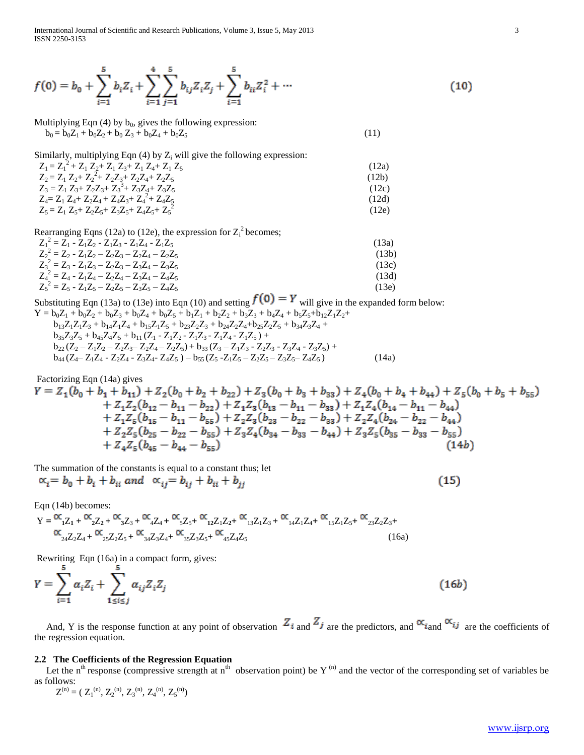International Journal of Scientific and Research Publications, Volume 3, Issue 5, May 2013 3 ISSN 2250-3153

$$
f(0) = b_0 + \sum_{i=1}^{5} b_i Z_i + \sum_{i=1}^{4} \sum_{j=1}^{5} b_{ij} Z_i Z_j + \sum_{i=1}^{5} b_{ii} Z_i^2 + \cdots
$$
 (10)

Multiplying Eqn  $(4)$  by  $b_0$ , gives the following expression:  $b_0 = b_0 Z_1 + b_0 Z_2 + b_0 Z_3 + b_0 Z_4 + b_0 Z_5$  (11)

Similarly, multiplying Eqn (4) by  $Z_i$  will give the following expression:

| $Z_1 = Z_1^2 + Z_1 Z_2 + Z_1 Z_3 + Z_1 Z_4 + Z_1 Z_5$ | (12a) |
|-------------------------------------------------------|-------|
| $Z_2 = Z_1 Z_2 + Z_2^2 + Z_2 Z_3 + Z_2 Z_4 + Z_2 Z_5$ | (12b) |
| $Z_3 = Z_1 Z_3 + Z_2 Z_3 + Z_3^3 + Z_3 Z_4 + Z_3 Z_5$ | (12c) |
| $Z_4 = Z_1 Z_4 + Z_2 Z_4 + Z_4 Z_3 + Z_4^2 + Z_4 Z_5$ | (12d) |
| $Z_5 = Z_1 Z_5 + Z_2 Z_5 + Z_3 Z_5 + Z_4 Z_5 + Z_5^2$ | (12e) |

Rearranging Eqns (12a) to (12e), the expression for  $Z_i^2$  becomes;

| $Z_1^2 = Z_1 - Z_1 Z_2 - Z_1 Z_3 - Z_1 Z_4 - Z_1 Z_5$ | (13a) |
|-------------------------------------------------------|-------|
| $Z_2^2 = Z_2 - Z_1 Z_2 - Z_2 Z_3 - Z_2 Z_4 - Z_2 Z_5$ | (13b) |
| $Z_3^2 = Z_3 - Z_1Z_3 - Z_2Z_3 - Z_3Z_4 - Z_3Z_5$     | (13c) |
| $Z_4^2 = Z_4 - Z_1Z_4 - Z_2Z_4 - Z_3Z_4 - Z_4Z_5$     | (13d) |
| $Z_5^2 = Z_5 - Z_1Z_5 - Z_2Z_5 - Z_3Z_5 - Z_4Z_5$     | (13e) |

Substituting Eqn (13a) to (13e) into Eqn (10) and setting  $f(0) = Y$  will give in the expanded form below:

$$
Y = b_0 Z_1 + b_0 Z_2 + b_0 Z_3 + b_0 Z_4 + b_0 Z_5 + b_1 Z_1 + b_2 Z_2 + b_3 Z_3 + b_4 Z_4 + b_5 Z_5 + b_{12} Z_1 Z_2 +b_{13} Z_1 Z_1 Z_3 + b_{14} Z_1 Z_4 + b_{15} Z_1 Z_5 + b_{23} Z_2 Z_3 + b_{24} Z_2 Z_4 + b_{25} Z_2 Z_5 + b_{34} Z_3 Z_4 +b_{35} Z_3 Z_5 + b_{45} Z_4 Z_5 + b_{11} (Z_1 - Z_1 Z_2 - Z_1 Z_3 - Z_1 Z_4 - Z_1 Z_5) +b_{22} (Z_2 - Z_1 Z_2 - Z_2 Z_3 - Z_2 Z_4 - Z_2 Z_5) + b_{33} (Z_3 - Z_1 Z_3 - Z_2 Z_3 - Z_3 Z_4 - Z_3 Z_5) +b_{44} (Z_4 - Z_1 Z_4 - Z_2 Z_4 - Z_3 Z_4 - Z_4 Z_5) - b_{55} (Z_5 - Z_1 Z_5 - Z_2 Z_5 - Z_3 Z_5 - Z_4 Z_5)
$$
(14a)

Factorizing Eqn (14a) gives  
\n
$$
Y = Z_1(b_0 + b_1 + b_{11}) + Z_2(b_0 + b_2 + b_{22}) + Z_3(b_0 + b_3 + b_{33}) + Z_4(b_0 + b_4 + b_{44}) + Z_5(b_0 + b_5 + b_{55})
$$
\n
$$
+ Z_1Z_2(b_{12} - b_{11} - b_{22}) + Z_1Z_3(b_{13} - b_{11} - b_{33}) + Z_1Z_4(b_{14} - b_{11} - b_{44})
$$
\n
$$
+ Z_1Z_5(b_{15} - b_{11} - b_{55}) + Z_2Z_3(b_{23} - b_{22} - b_{33}) + Z_2Z_4(b_{24} - b_{22} - b_{44})
$$
\n
$$
+ Z_2Z_5(b_{25} - b_{22} - b_{55}) + Z_3Z_4(b_{34} - b_{33} - b_{44}) + Z_3Z_5(b_{35} - b_{33} - b_{55})
$$
\n
$$
+ Z_4Z_5(b_{45} - b_{44} - b_{55})
$$
\n(14b)

The summation of the constants is equal to a constant thus; let

$$
\alpha_i = b_0 + b_i + b_{ii} \text{ and } \alpha_{ij} = b_{ij} + b_{ii} + b_{jj} \tag{15}
$$

Eqn (14b) becomes:

$$
Y = \frac{\alpha_{1}Z_{1} + \alpha_{2}Z_{2} + \alpha_{3}Z_{3} + \alpha_{4}Z_{4} + \alpha_{5}Z_{5} + \alpha_{12}Z_{1}Z_{2} + \alpha_{13}Z_{1}Z_{3} + \alpha_{14}Z_{1}Z_{4} + \alpha_{15}Z_{1}Z_{5} + \alpha_{23}Z_{2}Z_{3} + \alpha_{24}Z_{2}Z_{4} + \alpha_{5}Z_{2}Z_{5} + \alpha_{5}Z_{3}Z_{3}Z_{4} + \alpha_{5}Z_{3}Z_{3}Z_{5} + \alpha_{45}Z_{4}Z_{5}
$$
\n(16a)

Rewriting Eqn (16a) in a compact form, gives:<br> $\frac{5}{5}$ 

$$
Y = \sum_{i=1}^{5} \alpha_i Z_i + \sum_{1 \le i \le j}^{\infty} \alpha_{ij} Z_i Z_j \tag{16b}
$$

And, Y is the response function at any point of observation  $Z_i$  and  $Z_j$  are the predictors, and  $\alpha_{i}$  and  $\alpha_{ij}$  are the coefficients of the regression equation.

## **2.2 The Coefficients of the Regression Equation**

Let the  $n^{th}$  response (compressive strength at  $n^{th}$  observation point) be Y<sup>(n)</sup> and the vector of the corresponding set of variables be as follows:

 $Z^{(n)} = (Z_1^{(n)}, Z_2^{(n)}, Z_3^{(n)}, Z_4^{(n)}, Z_5^{(n)})$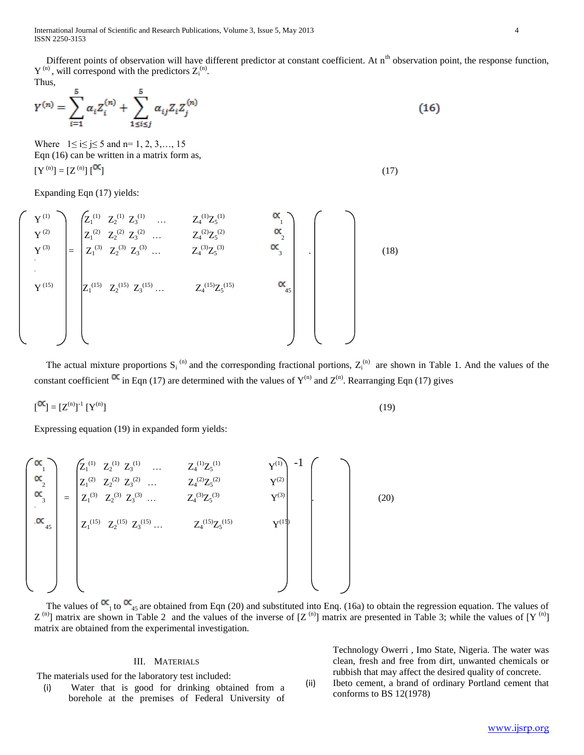International Journal of Scientific and Research Publications, Volume 3, Issue 5, May 2013 4 ISSN 2250-3153

Different points of observation will have different predictor at constant coefficient. At n<sup>th</sup> observation point, the response function,  $Y^{(n)}$ , will correspond with the predictors  $Z_i^{(n)}$ . Thus,

$$
Y^{(n)} = \sum_{i=1}^{5} \alpha_i Z_i^{(n)} + \sum_{1 \le i \le j}^{5} \alpha_{ij} Z_i Z_j^{(n)}
$$
(16)

Where  $1 \le i \le j \le 5$  and n= 1, 2, 3,..., 15 Eqn (16) can be written in a matrix form as,  $[Y^{(n)}] = [Z^{(n)}] \begin{bmatrix} \alpha \\ 1 \end{bmatrix}$  (17)

Expanding Eqn (17) yields:

$$
\mathbf{Y}^{(1)} = \begin{bmatrix} Z_1^{(1)} & Z_2^{(1)} & Z_3^{(1)} & \dots & Z_4^{(1)}Z_5^{(1)} & \mathbf{X}_1 \\ Z_1^{(2)} & Z_2^{(2)} & Z_3^{(2)} & \dots & Z_4^{(2)}Z_5^{(2)} & \mathbf{X}_2 \\ Z_1^{(3)} & Z_2^{(3)} & Z_3^{(3)} & \dots & Z_4^{(3)}Z_5^{(3)} & \mathbf{X}_3 \\ \vdots & \vdots & \vdots & \ddots & \vdots & \vdots \\ Z_1^{(15)} & Z_2^{(15)} & Z_3^{(15)} & \dots & Z_4^{(15)}Z_5^{(15)} & \mathbf{X}_4 \\ \end{bmatrix}
$$
 (18)

The actual mixture proportions  $S_i^{(n)}$  and the corresponding fractional portions,  $Z_i^{(n)}$  are shown in Table 1. And the values of the constant coefficient  $\alpha$  in Eqn (17) are determined with the values of Y<sup>(n)</sup> and Z<sup>(n)</sup>. Rearranging Eqn (17) gives

$$
\begin{bmatrix} \mathbf{C}^{\mathbf{C}} \end{bmatrix} = \begin{bmatrix} \mathbf{Z}^{(n)} \end{bmatrix}^{\mathbf{1}} \begin{bmatrix} \mathbf{Y}^{(n)} \end{bmatrix} \tag{19}
$$

Expressing equation (19) in expanded form yields:

$$
\begin{pmatrix}\n\alpha_1 \\
\alpha_2 \\
\alpha_3 \\
\alpha_4\n\end{pmatrix} = \begin{pmatrix}\nZ_1^{(1)} & Z_2^{(1)} & Z_3^{(1)} & \dots & Z_4^{(1)}Z_5^{(1)} & Y^{(1)} \\
Z_1^{(2)} & Z_2^{(2)} & Z_3^{(2)} & \dots & Z_4^{(2)}Z_5^{(2)} & Y^{(2)} \\
Z_1^{(3)} & Z_2^{(3)} & Z_3^{(3)} & \dots & Z_4^{(3)}Z_5^{(3)} & Y^{(3)} \\
Z_1^{(15)} & Z_2^{(15)} & Z_3^{(15)} & \dots & Z_4^{(15)}Z_5^{(15)} & Y^{(15)} \\
Z_1^{(15)} & Z_2^{(15)} & Z_3^{(15)} & \dots & Z_4^{(15)}Z_5^{(15)} & Y^{(15)}\n\end{pmatrix}
$$
\n(20)

The values of  $\alpha_{1}$  to  $\alpha_{45}$  are obtained from Eqn (20) and substituted into Enq. (16a) to obtain the regression equation. The values of  $Z^{(n)}$ ] matrix are shown in Table 2 and the values of the inverse of  $[Z^{(n)}]$  matrix are presented in Table 3; while the values of  $[Y^{(n)}]$ matrix are obtained from the experimental investigation.

## III. MATERIALS

The materials used for the laboratory test included:

(i) Water that is good for drinking obtained from a borehole at the premises of Federal University of Technology Owerri , Imo State, Nigeria. The water was clean, fresh and free from dirt, unwanted chemicals or rubbish that may affect the desired quality of concrete.

(ii) Ibeto cement, a brand of ordinary Portland cement that conforms to BS 12(1978)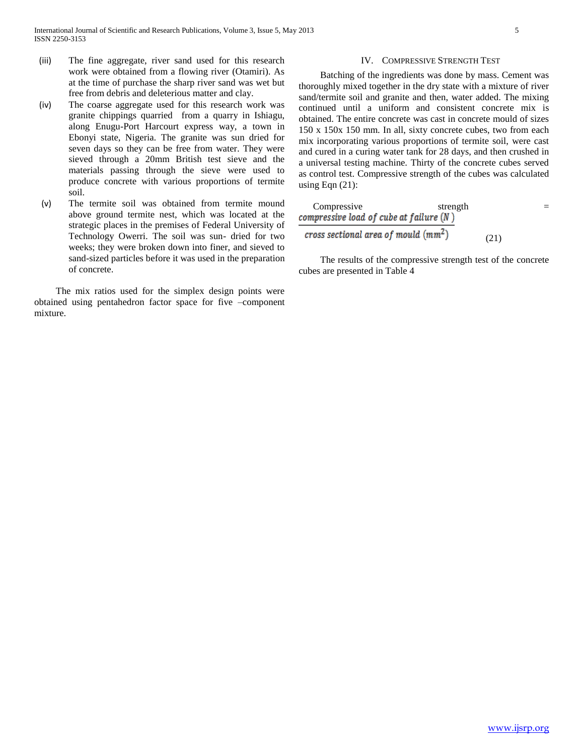- (iii) The fine aggregate, river sand used for this research work were obtained from a flowing river (Otamiri). As at the time of purchase the sharp river sand was wet but free from debris and deleterious matter and clay.
- (iv) The coarse aggregate used for this research work was granite chippings quarried from a quarry in Ishiagu, along Enugu-Port Harcourt express way, a town in Ebonyi state, Nigeria. The granite was sun dried for seven days so they can be free from water. They were sieved through a 20mm British test sieve and the materials passing through the sieve were used to produce concrete with various proportions of termite soil.
- (v) The termite soil was obtained from termite mound above ground termite nest, which was located at the strategic places in the premises of Federal University of Technology Owerri. The soil was sun- dried for two weeks; they were broken down into finer, and sieved to sand-sized particles before it was used in the preparation of concrete.

 The mix ratios used for the simplex design points were obtained using pentahedron factor space for five –component mixture.

### IV. COMPRESSIVE STRENGTH TEST

 Batching of the ingredients was done by mass. Cement was thoroughly mixed together in the dry state with a mixture of river sand/termite soil and granite and then, water added. The mixing continued until a uniform and consistent concrete mix is obtained. The entire concrete was cast in concrete mould of sizes 150 x 150x 150 mm. In all, sixty concrete cubes, two from each mix incorporating various proportions of termite soil, were cast and cured in a curing water tank for 28 days, and then crushed in a universal testing machine. Thirty of the concrete cubes served as control test. Compressive strength of the cubes was calculated using Eqn  $(21)$ :

| Compressive | strength                                  |      |  |
|-------------|-------------------------------------------|------|--|
|             | compressive load of cube at failure $(N)$ |      |  |
|             | cross sectional area of mould $(mm^2)$    | (21) |  |

 The results of the compressive strength test of the concrete cubes are presented in Table 4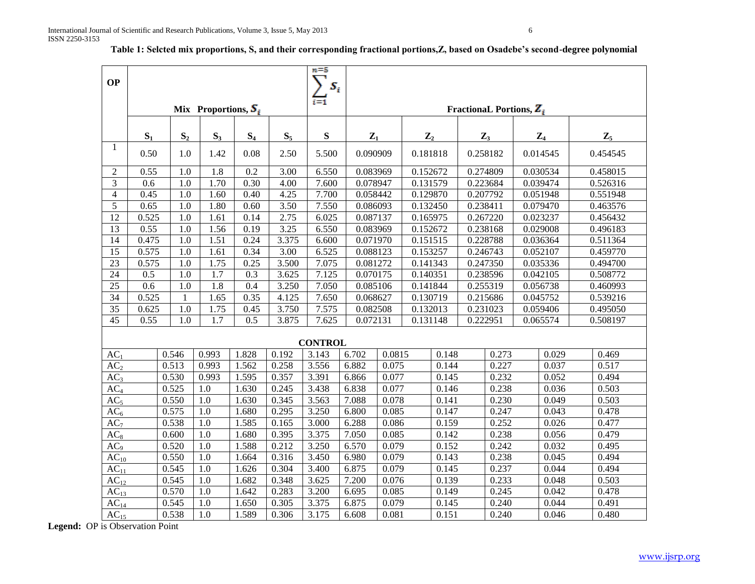| <b>OP</b>       |       |                |                        |       |       | $n = 5$<br>$S_i$ |          |                |                |                |          |                                              |                |                |
|-----------------|-------|----------------|------------------------|-------|-------|------------------|----------|----------------|----------------|----------------|----------|----------------------------------------------|----------------|----------------|
|                 |       |                | Mix Proportions, $S_i$ |       |       | $\overline{1}$   |          |                |                |                |          | <b>Fractional Portions, <math>Z_i</math></b> |                |                |
|                 |       |                |                        |       |       |                  |          |                |                |                |          |                                              |                |                |
|                 | $S_1$ | $S_2$          | $S_3$                  | $S_4$ | $S_5$ | ${\bf S}$        | $Z_1$    |                | $\mathbf{Z}_2$ |                |          | $\mathbf{Z}_3$                               | $\mathbf{Z}_4$ | $\mathbf{Z}_5$ |
| -1              | 0.50  | 1.0            | 1.42                   | 0.08  | 2.50  | 5.500            | 0.090909 |                | 0.181818       |                |          | 0.258182                                     | 0.014545       | 0.454545       |
| $\sqrt{2}$      | 0.55  | 1.0            | $\overline{1.8}$       | 0.2   | 3.00  | 6.550            | 0.083969 |                | 0.152672       |                |          | 0.274809                                     | 0.030534       | 0.458015       |
| 3               | 0.6   | 1.0            | 1.70                   | 0.30  | 4.00  | 7.600            | 0.078947 |                | 0.131579       |                |          | 0.223684                                     | 0.039474       | 0.526316       |
| $\overline{4}$  | 0.45  | 1.0            | 1.60                   | 0.40  | 4.25  | 7.700            | 0.058442 |                | 0.129870       |                |          | 0.207792                                     | 0.051948       | 0.551948       |
| 5               | 0.65  | 1.0            | 1.80                   | 0.60  | 3.50  | 7.550            | 0.086093 |                | 0.132450       |                | 0.238411 |                                              | 0.079470       | 0.463576       |
| 12              | 0.525 | 1.0            | 1.61                   | 0.14  | 2.75  | 6.025            | 0.087137 |                | 0.165975       |                |          | 0.267220                                     | 0.023237       | 0.456432       |
| 13              | 0.55  | 1.0            | 1.56                   | 0.19  | 3.25  | 6.550            | 0.083969 |                | 0.152672       |                |          | 0.238168                                     | 0.029008       | 0.496183       |
| 14              | 0.475 | 1.0            | 1.51                   | 0.24  | 3.375 | 6.600            | 0.071970 |                | 0.151515       |                |          | 0.228788                                     | 0.036364       | 0.511364       |
| 15              | 0.575 | 1.0            | 1.61                   | 0.34  | 3.00  | 6.525            | 0.088123 |                | 0.153257       |                |          | 0.246743                                     | 0.052107       | 0.459770       |
| 23              | 0.575 | 1.0            | 1.75                   | 0.25  | 3.500 | 7.075            | 0.081272 |                | 0.141343       |                |          | 0.247350                                     | 0.035336       | 0.494700       |
| 24              | 0.5   | 1.0            | 1.7                    | 0.3   | 3.625 | 7.125            | 0.070175 |                | 0.140351       |                |          | 0.238596                                     | 0.042105       | 0.508772       |
| 25              | 0.6   | 1.0            | $\overline{1.8}$       | 0.4   | 3.250 | 7.050            | 0.085106 |                | 0.141844       |                |          | 0.255319                                     | 0.056738       | 0.460993       |
| 34              | 0.525 | $\mathbf{1}$   | 1.65                   | 0.35  | 4.125 | 7.650            | 0.068627 |                | 0.130719       |                |          | 0.215686                                     | 0.045752       | 0.539216       |
| $\overline{35}$ | 0.625 | 1.0            | 1.75                   | 0.45  | 3.750 | 7.575            | 0.082508 |                | 0.132013       |                |          | 0.231023                                     | 0.059406       | 0.495050       |
| $\overline{45}$ | 0.55  | 1.0            | $\overline{1.7}$       | 0.5   | 3.875 | 7.625            | 0.072131 |                | 0.131148       |                | 0.222951 |                                              | 0.065574       | 0.508197       |
|                 |       |                |                        |       |       | <b>CONTROL</b>   |          |                |                |                |          |                                              |                |                |
| AC <sub>1</sub> |       | 0.546          | 0.993                  | 1.828 | 0.192 | 3.143            | 6.702    | 0.0815         |                | 0.148          |          | 0.273                                        | 0.029          | 0.469          |
| AC <sub>2</sub> |       | 0.513          | 0.993                  | 1.562 | 0.258 | 3.556            | 6.882    | 0.075          |                | 0.144          |          | 0.227                                        | 0.037          | 0.517          |
| AC <sub>3</sub> |       | 0.530          | 0.993                  | 1.595 | 0.357 | 3.391            | 6.866    | 0.077          |                | 0.145          |          | 0.232                                        | 0.052          | 0.494          |
| AC <sub>4</sub> |       | 0.525          | 1.0                    | 1.630 | 0.245 | 3.438            | 6.838    | 0.077          |                | 0.146          |          | 0.238                                        | 0.036          | 0.503          |
| AC <sub>5</sub> |       | 0.550          | $1.0\,$                | 1.630 | 0.345 | 3.563            | 7.088    | 0.078          |                | 0.141          |          | 0.230                                        | 0.049          | 0.503          |
| AC <sub>6</sub> |       | 0.575          | $1.0\,$                | 1.680 | 0.295 | 3.250            | 6.800    | 0.085          |                | 0.147          |          | 0.247                                        | 0.043          | 0.478          |
| AC <sub>7</sub> |       | 0.538          | 1.0                    | 1.585 | 0.165 | 3.000            | 6.288    | 0.086          |                | 0.159          |          | 0.252                                        | 0.026          | 0.477          |
| $AC_8$          |       | 0.600          | 1.0                    | 1.680 | 0.395 | 3.375            | 7.050    | 0.085          |                | 0.142          |          | 0.238                                        | 0.056          | 0.479          |
| AC <sub>9</sub> |       | 0.520          | 1.0                    | 1.588 | 0.212 | 3.250            | 6.570    | 0.079          |                | 0.152          |          | 0.242                                        | 0.032          | 0.495          |
| $AC_{10}$       |       | 0.550          | 1.0                    | 1.664 | 0.316 | 3.450            | 6.980    | 0.079          |                | 0.143          |          | 0.238                                        | 0.045          | 0.494          |
| $AC_{11}$       |       | 0.545          | 1.0                    | 1.626 | 0.304 | 3.400            | 6.875    | 0.079          |                | 0.145          |          | 0.237                                        | 0.044          | 0.494          |
| $AC_{12}$       |       | 0.545          | 1.0                    | 1.682 | 0.348 | 3.625            | 7.200    | 0.076          |                | 0.139          |          | 0.233                                        | 0.048          | 0.503          |
| $AC_{13}$       |       | 0.570<br>0.545 | 1.0<br>1.0             | 1.642 | 0.283 | 3.200            | 6.695    | 0.085<br>0.079 |                | 0.149          |          | 0.245<br>0.240                               | 0.042<br>0.044 | 0.478<br>0.491 |
| $AC_{14}$       |       | 0.538          |                        | 1.650 | 0.305 | 3.375<br>3.175   | 6.875    |                |                | 0.145<br>0.151 |          |                                              | 0.046          |                |
| $AC_{15}$       |       |                | 1.0                    | 1.589 | 0.306 |                  | 6.608    | 0.081          |                |                |          | 0.240                                        |                | 0.480          |

# **Table 1: Selcted mix proportions, S, and their corresponding fractional portions,Z, based on Osadebe's second-degree polynomial**

Legend: OP is Observation Point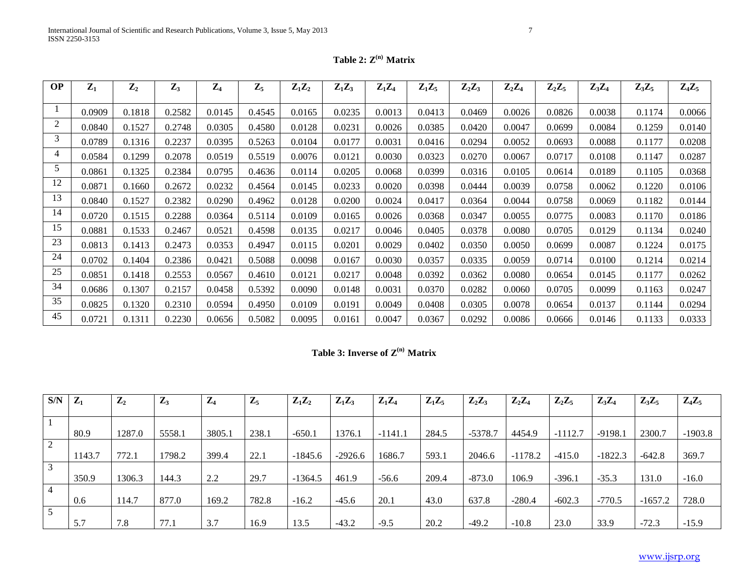| <b>OP</b>      | $Z_1$  | $\mathbf{Z}_2$ | $\mathbf{Z}_3$ | $\mathbf{Z}_4$ | $\mathbf{Z}_5$ | $Z_1Z_2$ | $Z_1Z_3$ | $Z_1Z_4$ | $Z_1Z_5$ | $\mathbf{Z}_2\mathbf{Z}_3$ | $\mathbf{Z}_2\mathbf{Z}_4$ | $Z_2Z_5$ | $Z_3Z_4$ | $Z_3Z_5$ | $Z_4Z_5$ |
|----------------|--------|----------------|----------------|----------------|----------------|----------|----------|----------|----------|----------------------------|----------------------------|----------|----------|----------|----------|
|                |        |                |                |                |                |          |          |          |          |                            |                            |          |          |          |          |
|                | 0.0909 | 0.1818         | 0.2582         | 0.0145         | 0.4545         | 0.0165   | 0.0235   | 0.0013   | 0.0413   | 0.0469                     | 0.0026                     | 0.0826   | 0.0038   | 0.1174   | 0.0066   |
| $\overline{c}$ | 0.0840 | 0.1527         | 0.2748         | 0.0305         | 0.4580         | 0.0128   | 0.0231   | 0.0026   | 0.0385   | 0.0420                     | 0.0047                     | 0.0699   | 0.0084   | 0.1259   | 0.0140   |
| 3              | 0.0789 | 0.1316         | 0.2237         | 0.0395         | 0.5263         | 0.0104   | 0.0177   | 0.0031   | 0.0416   | 0.0294                     | 0.0052                     | 0.0693   | 0.0088   | 0.1177   | 0.0208   |
| 4              | 0.0584 | 0.1299         | 0.2078         | 0.0519         | 0.5519         | 0.0076   | 0.0121   | 0.0030   | 0.0323   | 0.0270                     | 0.0067                     | 0.0717   | 0.0108   | 0.1147   | 0.0287   |
| 5              | 0.0861 | 0.1325         | 0.2384         | 0.0795         | 0.4636         | 0.0114   | 0.0205   | 0.0068   | 0.0399   | 0.0316                     | 0.0105                     | 0.0614   | 0.0189   | 0.1105   | 0.0368   |
| 12             | 0.0871 | 0.1660         | 0.2672         | 0.0232         | 0.4564         | 0.0145   | 0.0233   | 0.0020   | 0.0398   | 0.0444                     | 0.0039                     | 0.0758   | 0.0062   | 0.1220   | 0.0106   |
| 13             | 0.0840 | 0.1527         | 0.2382         | 0.0290         | 0.4962         | 0.0128   | 0.0200   | 0.0024   | 0.0417   | 0.0364                     | 0.0044                     | 0.0758   | 0.0069   | 0.1182   | 0.0144   |
| 14             | 0.0720 | 0.1515         | 0.2288         | 0.0364         | 0.5114         | 0.0109   | 0.0165   | 0.0026   | 0.0368   | 0.0347                     | 0.0055                     | 0.0775   | 0.0083   | 0.1170   | 0.0186   |
| 15             | 0.0881 | 0.1533         | 0.2467         | 0.0521         | 0.4598         | 0.0135   | 0.0217   | 0.0046   | 0.0405   | 0.0378                     | 0.0080                     | 0.0705   | 0.0129   | 0.1134   | 0.0240   |
| 23             | 0.0813 | 0.1413         | 0.2473         | 0.0353         | 0.4947         | 0.0115   | 0.0201   | 0.0029   | 0.0402   | 0.0350                     | 0.0050                     | 0.0699   | 0.0087   | 0.1224   | 0.0175   |
| 24             | 0.0702 | 0.1404         | 0.2386         | 0.0421         | 0.5088         | 0.0098   | 0.0167   | 0.0030   | 0.0357   | 0.0335                     | 0.0059                     | 0.0714   | 0.0100   | 0.1214   | 0.0214   |
| 25             | 0.0851 | 0.1418         | 0.2553         | 0.0567         | 0.4610         | 0.0121   | 0.0217   | 0.0048   | 0.0392   | 0.0362                     | 0.0080                     | 0.0654   | 0.0145   | 0.1177   | 0.0262   |
| 34             | 0.0686 | 0.1307         | 0.2157         | 0.0458         | 0.5392         | 0.0090   | 0.0148   | 0.0031   | 0.0370   | 0.0282                     | 0.0060                     | 0.0705   | 0.0099   | 0.1163   | 0.0247   |
| 35             | 0.0825 | 0.1320         | 0.2310         | 0.0594         | 0.4950         | 0.0109   | 0.0191   | 0.0049   | 0.0408   | 0.0305                     | 0.0078                     | 0.0654   | 0.0137   | 0.1144   | 0.0294   |
| 45             | 0.0721 | 0.1311         | 0.2230         | 0.0656         | 0.5082         | 0.0095   | 0.0161   | 0.0047   | 0.0367   | 0.0292                     | 0.0086                     | 0.0666   | 0.0146   | 0.1133   | 0.0333   |

**Table 3: Inverse of Z(n) Matrix**

| S/N            | $\mathbf{Z}_1$ | $\mathbf{Z}_2$ | $\mathbf{Z}_3$ | $\mathbf{Z}_4$ | $\mathbf{Z}_5$ | $Z_1Z_2$  | $Z_1Z_3$  | $Z_1Z_4$  | $Z_1Z_5$ | $\mathbf{Z}_2\mathbf{Z}_3$ | $\mathbf{Z}_2\mathbf{Z}_4$ | $Z_2Z_5$  | $Z_3Z_4$  | $Z_3Z_5$  | $Z_4Z_5$  |
|----------------|----------------|----------------|----------------|----------------|----------------|-----------|-----------|-----------|----------|----------------------------|----------------------------|-----------|-----------|-----------|-----------|
|                |                |                |                |                |                |           |           |           |          |                            |                            |           |           |           |           |
|                | 80.9           | 1287.0         | 5558.1         | 3805.1         | 238.1          | $-650.1$  | 1376.1    | $-1141.1$ | 284.5    | $-5378.7$                  | 4454.9                     | $-1112.7$ | $-9198.1$ | 2300.7    | $-1903.8$ |
| 2              |                |                |                |                |                |           |           |           |          |                            |                            |           |           |           |           |
|                | 1143.7         | 772.1          | 1798.2         | 399.4          | 22.1           | $-1845.6$ | $-2926.6$ | 1686.7    | 593.1    | 2046.6                     | $-1178.2$                  | $-415.0$  | $-1822.3$ | $-642.8$  | 369.7     |
| 3              |                |                |                |                |                |           |           |           |          |                            |                            |           |           |           |           |
|                | 350.9          | 1306.3         | 144.3          | 2.2            | 29.7           | $-1364.5$ | 461.9     | $-56.6$   | 209.4    | $-873.0$                   | 106.9                      | $-396.1$  | $-35.3$   | 131.0     | $-16.0$   |
| $\overline{4}$ |                |                |                |                |                |           |           |           |          |                            |                            |           |           |           |           |
|                | 0.6            | 114.7          | 877.0          | 169.2          | 782.8          | $-16.2$   | $-45.6$   | 20.1      | 43.0     | 637.8                      | $-280.4$                   | $-602.3$  | $-770.5$  | $-1657.2$ | 728.0     |
| 5              |                |                |                |                |                |           |           |           |          |                            |                            |           |           |           |           |
|                | 5.7            | 7.8            | 77.1           | 3.7            | 16.9           | 13.5      | $-43.2$   | $-9.5$    | 20.2     | $-49.2$                    | $-10.8$                    | 23.0      | 33.9      | $-72.3$   | $-15.9$   |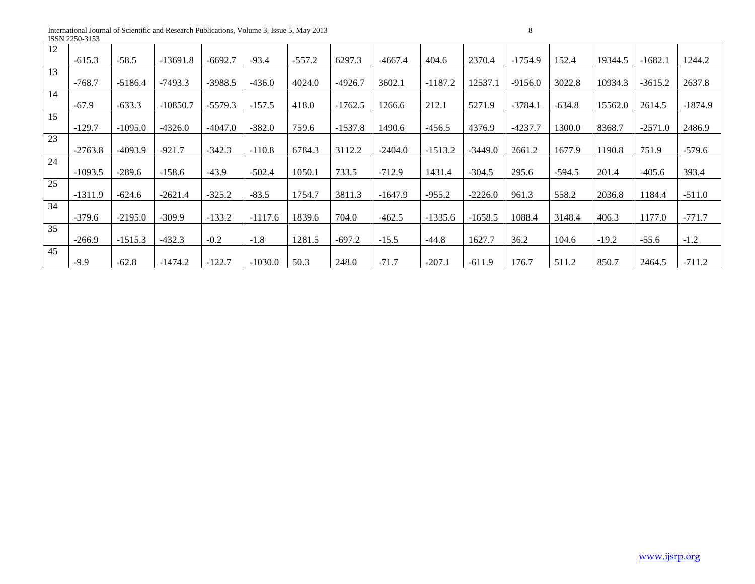International Journal of Scientific and Research Publications, Volume 3, Issue 5, May 2013 8 ISSN 2250-3153

| 12 |           |           |            |           |           |          |           |           |           |           |           |          |         |           |           |
|----|-----------|-----------|------------|-----------|-----------|----------|-----------|-----------|-----------|-----------|-----------|----------|---------|-----------|-----------|
|    | $-615.3$  | $-58.5$   | $-13691.8$ | $-6692.7$ | $-93.4$   | $-557.2$ | 6297.3    | $-4667.4$ | 404.6     | 2370.4    | $-1754.9$ | 152.4    | 19344.5 | $-1682.1$ | 1244.2    |
| 13 |           |           |            |           |           |          |           |           |           |           |           |          |         |           |           |
|    | $-768.7$  | $-5186.4$ | $-7493.3$  | $-3988.5$ | $-436.0$  | 4024.0   | $-4926.7$ | 3602.1    | $-1187.2$ | 12537.1   | $-9156.0$ | 3022.8   | 10934.3 | $-3615.2$ | 2637.8    |
| 14 |           |           |            |           |           |          |           |           |           |           |           |          |         |           |           |
|    | $-67.9$   | $-633.3$  | $-10850.7$ | $-5579.3$ | $-157.5$  | 418.0    | $-1762.5$ | 1266.6    | 212.1     | 5271.9    | $-3784.1$ | $-634.8$ | 15562.0 | 2614.5    | $-1874.9$ |
| 15 |           |           |            |           |           |          |           |           |           |           |           |          |         |           |           |
|    | $-129.7$  | $-1095.0$ | $-4326.0$  | -4047.0   | $-382.0$  | 759.6    | $-1537.8$ | 1490.6    | $-456.5$  | 4376.9    | $-4237.7$ | 1300.0   | 8368.7  | $-2571.0$ | 2486.9    |
| 23 |           |           |            |           |           |          |           |           |           |           |           |          |         |           |           |
|    | $-2763.8$ | $-4093.9$ | $-921.7$   | $-342.3$  | $-110.8$  | 6784.3   | 3112.2    | $-2404.0$ | $-1513.2$ | $-3449.0$ | 2661.2    | 1677.9   | 1190.8  | 751.9     | $-579.6$  |
| 24 |           |           |            |           |           |          |           |           |           |           |           |          |         |           |           |
|    | $-1093.5$ | $-289.6$  | $-158.6$   | $-43.9$   | $-502.4$  | 1050.1   | 733.5     | $-712.9$  | 1431.4    | $-304.5$  | 295.6     | $-594.5$ | 201.4   | $-405.6$  | 393.4     |
| 25 |           |           |            |           |           |          |           |           |           |           |           |          |         |           |           |
|    | $-1311.9$ | $-624.6$  | $-2621.4$  | $-325.2$  | $-83.5$   | 1754.7   | 3811.3    | $-1647.9$ | $-955.2$  | $-2226.0$ | 961.3     | 558.2    | 2036.8  | 1184.4    | $-511.0$  |
| 34 |           |           |            |           |           |          |           |           |           |           |           |          |         |           |           |
|    | $-379.6$  | $-2195.0$ | $-309.9$   | $-133.2$  | $-1117.6$ | 1839.6   | 704.0     | $-462.5$  | $-1335.6$ | $-1658.5$ | 1088.4    | 3148.4   | 406.3   | 1177.0    | $-771.7$  |
| 35 |           |           |            |           |           |          |           |           |           |           |           |          |         |           |           |
|    | $-266.9$  | $-1515.3$ | $-432.3$   | $-0.2$    | $-1.8$    | 1281.5   | $-697.2$  | $-15.5$   | $-44.8$   | 1627.7    | 36.2      | 104.6    | $-19.2$ | $-55.6$   | $-1.2$    |
| 45 |           |           |            |           |           |          |           |           |           |           |           |          |         |           |           |
|    | $-9.9$    | $-62.8$   | $-1474.2$  | $-122.7$  | $-1030.0$ | 50.3     | 248.0     | $-71.7$   | $-207.1$  | $-611.9$  | 176.7     | 511.2    | 850.7   | 2464.5    | $-711.2$  |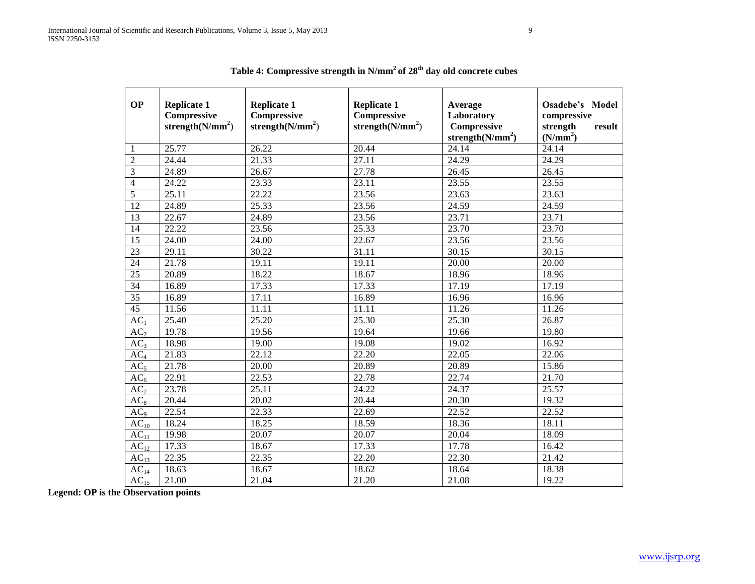| <b>OP</b>         | <b>Replicate 1</b><br>Compressive<br>strength $(N/mm^2)$ | <b>Replicate 1</b><br>Compressive<br>strength $(N/mm^2)$ | <b>Replicate 1</b><br>Compressive<br>strength $(N/mm^2)$ | Average<br>Laboratory<br>Compressive<br>strength $(N/mm^2)$ | <b>Osadebe's Model</b><br>compressive<br>strength<br>result<br>(N/mm <sup>2</sup> ) |  |
|-------------------|----------------------------------------------------------|----------------------------------------------------------|----------------------------------------------------------|-------------------------------------------------------------|-------------------------------------------------------------------------------------|--|
| $\mathbf{1}$      | 25.77                                                    | 26.22                                                    | 20.44                                                    | 24.14                                                       | 24.14                                                                               |  |
| $\overline{2}$    | 24.44                                                    | 21.33                                                    | 27.11                                                    | 24.29                                                       | 24.29                                                                               |  |
| 3                 | 24.89                                                    | 26.67                                                    | 27.78                                                    | 26.45                                                       | 26.45                                                                               |  |
| $\overline{4}$    | 24.22                                                    | 23.33                                                    | 23.11                                                    | 23.55                                                       | 23.55                                                                               |  |
| 5                 | 25.11                                                    | 22.22                                                    | 23.56                                                    | 23.63                                                       | 23.63                                                                               |  |
| 12                | 24.89                                                    | 25.33                                                    | 23.56                                                    | 24.59                                                       | 24.59                                                                               |  |
| $\overline{13}$   | 22.67                                                    | 24.89                                                    | 23.56                                                    | 23.71                                                       | 23.71                                                                               |  |
| 14                | 22.22                                                    | 23.56                                                    | 25.33                                                    | 23.70                                                       | 23.70                                                                               |  |
| $\overline{15}$   | 24.00                                                    | 24.00                                                    | 22.67                                                    | 23.56                                                       | 23.56                                                                               |  |
| 23                | 29.11                                                    | 30.22                                                    | 31.11                                                    | 30.15                                                       | 30.15                                                                               |  |
| 24                | 21.78                                                    | 19.11                                                    | 19.11                                                    | 20.00                                                       | 20.00                                                                               |  |
| $\overline{25}$   | 20.89                                                    | 18.22                                                    | 18.67                                                    | 18.96                                                       | 18.96                                                                               |  |
| 34                | 16.89                                                    | 17.33                                                    | 17.33                                                    | 17.19                                                       | 17.19                                                                               |  |
| $\overline{35}$   | 16.89                                                    | 17.11                                                    | 16.89                                                    | 16.96                                                       | 16.96                                                                               |  |
| 45                | 11.56                                                    | 11.11                                                    | 11.11                                                    | 11.26                                                       | 11.26                                                                               |  |
| $\overline{AC_1}$ | 25.40                                                    | 25.20                                                    | 25.30                                                    | 25.30                                                       | 26.87                                                                               |  |
| AC <sub>2</sub>   | 19.78                                                    | 19.56                                                    | 19.64                                                    | 19.66                                                       | 19.80                                                                               |  |
| AC <sub>3</sub>   | 18.98                                                    | 19.00                                                    | 19.08                                                    | 19.02                                                       | 16.92                                                                               |  |
| AC <sub>4</sub>   | 21.83                                                    | 22.12                                                    | $\overline{2}$ 2.20                                      | $\overline{2}2.05$                                          | 22.06                                                                               |  |
| AC <sub>5</sub>   | 21.78                                                    | 20.00                                                    | 20.89                                                    | 20.89                                                       | 15.86                                                                               |  |
| AC <sub>6</sub>   | 22.91                                                    | 22.53                                                    | 22.78                                                    | 22.74                                                       | 21.70                                                                               |  |
| AC <sub>7</sub>   | 23.78                                                    | 25.11                                                    | 24.22                                                    | 24.37                                                       | 25.57                                                                               |  |
| $AC_8$            | 20.44                                                    | 20.02                                                    | 20.44                                                    | 20.30                                                       | 19.32                                                                               |  |
| AC <sub>9</sub>   | 22.54                                                    | 22.33                                                    | 22.69                                                    | 22.52                                                       | 22.52                                                                               |  |
| $AC_{10}$         | 18.24                                                    | 18.25                                                    | 18.59                                                    | 18.36                                                       | 18.11                                                                               |  |
| $AC_{11}$         | 19.98                                                    | 20.07                                                    | 20.07                                                    | 20.04                                                       | 18.09                                                                               |  |
| $AC_{12}$         | 17.33                                                    | 18.67                                                    | 17.33                                                    | 17.78                                                       | 16.42                                                                               |  |
| $AC_{13}$         | 22.35                                                    | 22.35                                                    | 22.20                                                    | 22.30                                                       | 21.42                                                                               |  |
| $AC_{14}$         | 18.63                                                    | 18.67                                                    | 18.62                                                    | 18.64                                                       | 18.38                                                                               |  |
| AC <sub>15</sub>  | 21.00                                                    | 21.04                                                    | 21.20                                                    | 21.08                                                       | 19.22                                                                               |  |

**Table 4: Compressive strength in N/mm<sup>2</sup>of 28th day old concrete cubes**

**Legend: OP is the Observation points**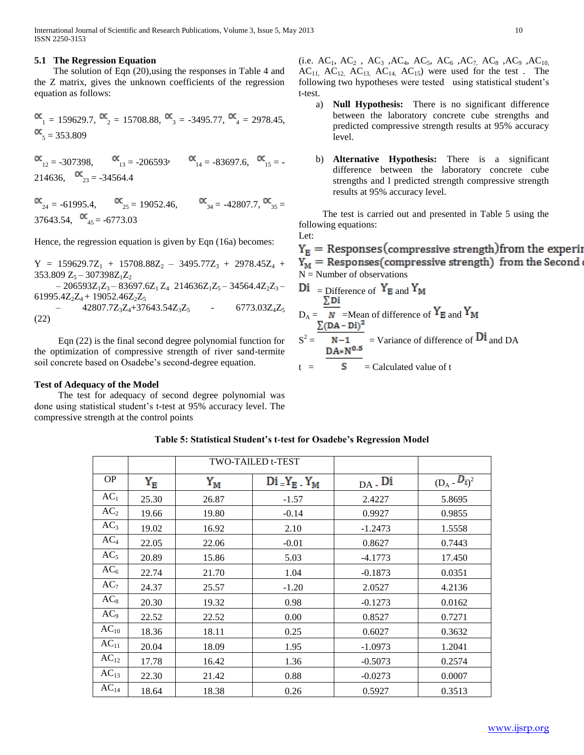International Journal of Scientific and Research Publications, Volume 3, Issue 5, May 2013 10 ISSN 2250-3153

#### **5.1 The Regression Equation**

 The solution of Eqn (20),using the responses in Table 4 and the Z matrix, gives the unknown coefficients of the regression equation as follows:

$$
\begin{aligned} \n\alpha_1 &= 159629.7, \, \n\alpha_2 &= 15708.88, \, \n\alpha_3 &= 3495.77, \, \n\alpha_4 &= 2978.45, \\ \n\alpha_5 &= 353.809 \n\end{aligned}
$$

 $\alpha_{12} = -307398$ ,  $\alpha_{13} = -206593$ ,  $\alpha_{14} = -83697.6$ ,  $\alpha_{15} = -$ 214636,  $\alpha_{23} = -34564.4$ 

 $\alpha_{24} = -61995.4, \alpha_{25} = 19052.46, \alpha_{34} = -42807.7, \alpha_{35} =$ 37643.54,  $\alpha_{45} = -6773.03$ 

Hence, the regression equation is given by Eqn (16a) becomes:

 $Y = 159629.7Z_1 + 15708.88Z_2 - 3495.77Z_3 + 2978.45Z_4 +$  $353.809$  Z<sub>5</sub> –  $307398$ Z<sub>1</sub>Z<sub>2</sub>  $-206593Z_1Z_3 - 83697.6Z_1Z_4 214636Z_1Z_5 - 34564.4Z_2Z_3 -$ 61995.4 $Z_2Z_4$  + 19052.46 $Z_2Z_5$  $-$  42807.7Z<sub>3</sub>Z<sub>4</sub>+37643.54Z<sub>3</sub>Z<sub>5</sub> - 6773.03Z<sub>4</sub>Z<sub>5</sub> (22)

 Eqn (22) is the final second degree polynomial function for the optimization of compressive strength of river sand-termite soil concrete based on Osadebe's second-degree equation.

#### **Test of Adequacy of the Model**

 The test for adequacy of second degree polynomial was done using statistical student's t-test at 95% accuracy level. The compressive strength at the control points

(i.e.  $AC_1$ ,  $AC_2$ ,  $AC_3$ ,  $AC_4$ ,  $AC_5$ ,  $AC_6$ ,  $AC_7$ ,  $AC_8$ ,  $AC_9$ ,  $AC_{10}$  $AC_{11}$ ,  $AC_{12}$ ,  $AC_{13}$ ,  $AC_{14}$ ,  $AC_{15}$ ) were used for the test. The following two hypotheses were tested using statistical student's t-test.

- a) **Null Hypothesis:** There is no significant difference between the laboratory concrete cube strengths and predicted compressive strength results at 95% accuracy level.
- b) **Alternative Hypothesis:** There is a significant difference between the laboratory concrete cube strengths and l predicted strength compressive strength results at 95% accuracy level.

 The test is carried out and presented in Table 5 using the following equations:

Let:  $Y_{\rm E}$  = Responses (compressive strength) from the experii  $Y_M$  = Responses(compressive strength) from the Second  $N =$  Number of observations  $\overline{Di}$  = Difference of  $Y_{\text{R}}$  and  $Y_{\text{M}}$ 

$$
D_A = \frac{\sum_{i=1}^{n} D_i}{N} = \text{Mean of difference of } Y_E \text{ and } Y_M
$$
  

$$
S^2 = \frac{\sum_{i=1}^{n} (DA - D_i)^2}{DA * N^{0.5}} = \text{Variance of difference of } D_i \text{ and } DA
$$

$$
t =
$$
 **S** = Calculated value of t

|                 |               |             | <b>TWO-TAILED t-TEST</b> |           |                 |
|-----------------|---------------|-------------|--------------------------|-----------|-----------------|
| <b>OP</b>       | ${\rm Y_{E}}$ | ${\rm Y_M}$ | $Di Y_E Y_M$             | $DA - Di$ | $(D_A - D_i)^2$ |
| AC <sub>1</sub> | 25.30         | 26.87       | $-1.57$                  | 2.4227    | 5.8695          |
| AC <sub>2</sub> | 19.66         | 19.80       | $-0.14$                  | 0.9927    | 0.9855          |
| AC <sub>3</sub> | 19.02         | 16.92       | 2.10                     | $-1.2473$ | 1.5558          |
| AC <sub>4</sub> | 22.05         | 22.06       | $-0.01$                  | 0.8627    | 0.7443          |
| AC <sub>5</sub> | 20.89         | 15.86       | 5.03                     | $-4.1773$ | 17.450          |
| AC <sub>6</sub> | 22.74         | 21.70       | 1.04                     | $-0.1873$ | 0.0351          |
| AC <sub>7</sub> | 24.37         | 25.57       | $-1.20$                  | 2.0527    | 4.2136          |
| $AC_8$          | 20.30         | 19.32       | 0.98                     | $-0.1273$ | 0.0162          |
| AC <sub>9</sub> | 22.52         | 22.52       | 0.00                     | 0.8527    | 0.7271          |
| $AC_{10}$       | 18.36         | 18.11       | 0.25                     | 0.6027    | 0.3632          |
| $AC_{11}$       | 20.04         | 18.09       | 1.95                     | $-1.0973$ | 1.2041          |
| $AC_{12}$       | 17.78         | 16.42       | 1.36                     | $-0.5073$ | 0.2574          |
| $AC_{13}$       | 22.30         | 21.42       | 0.88                     | $-0.0273$ | 0.0007          |
| $AC_{14}$       | 18.64         | 18.38       | 0.26                     | 0.5927    | 0.3513          |

# **Table 5: Statistical Student's t-test for Osadebe's Regression Model**